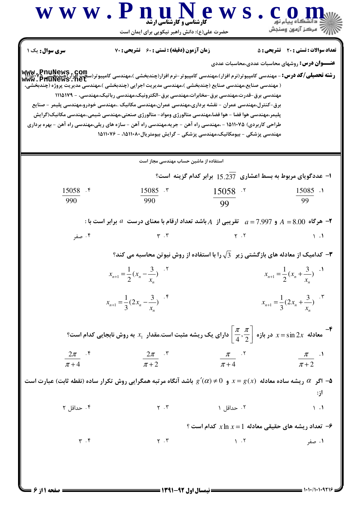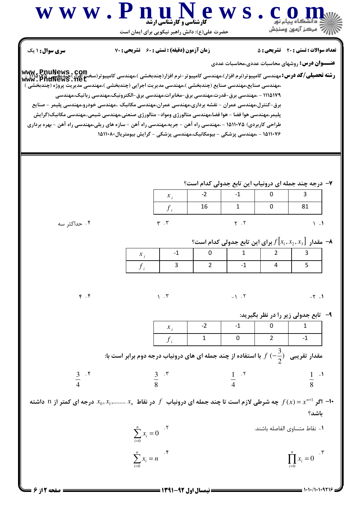

 $=$  1.1./1.1.9216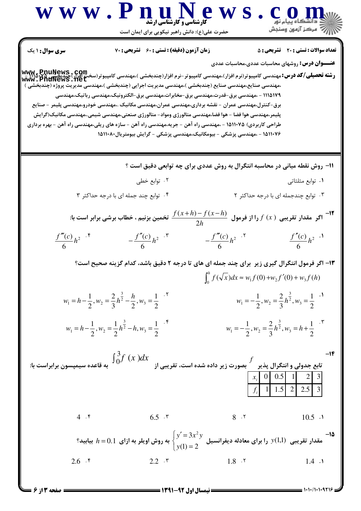$\sqrt{}$ 

N

 $\sim$   $-$ -

 $= 1.1.11.1.9718$ 

 $\bigcup$  صفحه ۱۳ از ۶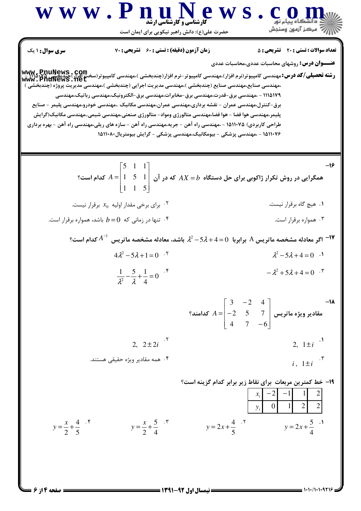$= 1.11/1.1.9718$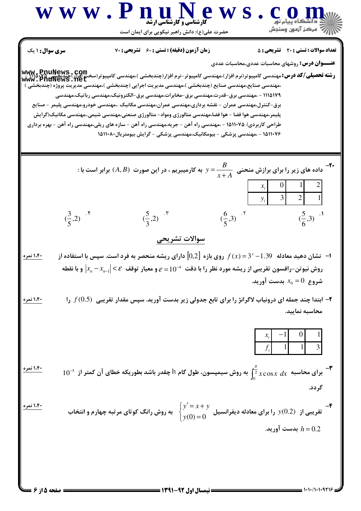